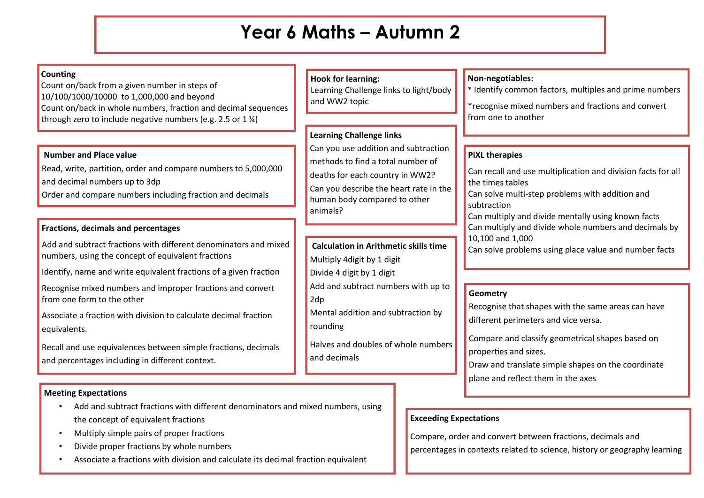# **Year 6 Maths – Autumn 2**

#### **Counting**

Count on/back from a given number in steps of 10/100/1000/10000 to 1,000,000 and beyond Count on/back in whole numbers, fraction and decimal sequences through zero to include negative numbers (e.g. 2.5 or 1  $\frac{1}{2}$ )

#### **Number and Place value**

Read, write, partition, order and compare numbers to 5,000,000 and decimal numbers up to 3dp Order and compare numbers including fraction and decimals

#### **Fractions, decimals and percentages**

Add and subtract fractions with different denominators and mixed numbers, using the concept of equivalent fractions

Identify, name and write equivalent fractions of a given fraction

Recognise mixed numbers and improper fractions and convert from one form to the other

Associate a fraction with division to calculate decimal fraction equivalents.

Recall and use equivalences between simple fractions, decimals and percentages including in different context.

#### **Meeting Expectations**

- Add and subtract fractions with different denominators and mixed numbers, using the concept of equivalent fractions
- Multiply simple pairs of proper fractions
- Divide proper fractions by whole numbers
- Associate a fractions with division and calculate its decimal fraction equivalent

## **Hook for learning:**

Learning Challenge links to light/body and WW2 topic

## **Learning Challenge links**

Can you use addition and subtraction methods to find a total number of deaths for each country in WW2? Can you describe the heart rate in the human body compared to other animals?

## **Calculation in Arithmetic skills time**

Multiply 4digit by 1 digit Divide 4 digit by 1 digit

Add and subtract numbers with up to 2dp

Mental addition and subtraction by rounding

Halves and doubles of whole numbers and decimals

## **Non-negotiables:**

\* Identify common factors, multiples and prime numbers

\*recognise mixed numbers and fractions and convert from one to another

### **PiXL therapies**

Can recall and use multiplication and division facts for all the times tables

Can solve multi-step problems with addition and subtraction

Can multiply and divide mentally using known facts Can multiply and divide whole numbers and decimals by 10,100 and 1,000

Can solve problems using place value and number facts

#### **Geometry**

Recognise that shapes with the same areas can have different perimeters and vice versa.

Compare and classify geometrical shapes based on properties and sizes.

Draw and translate simple shapes on the coordinate plane and reflect them in the axes

## **Exceeding Expectations**

Compare, order and convert between fractions, decimals and percentages in contexts related to science, history or geography learning